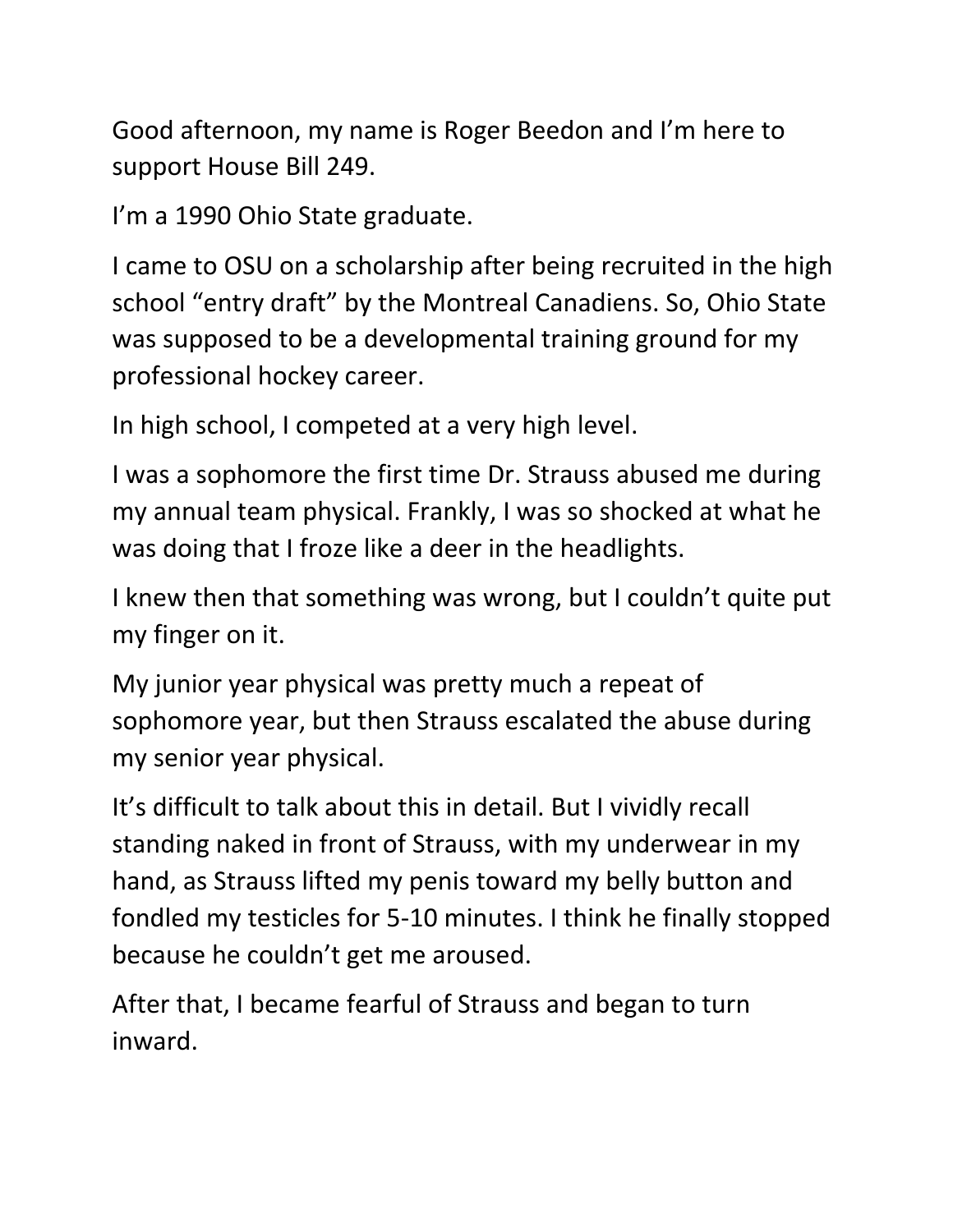Good afternoon, my name is Roger Beedon and I'm here to support House Bill 249.

I'm a 1990 Ohio State graduate.

I came to OSU on a scholarship after being recruited in the high school "entry draft" by the Montreal Canadiens. So, Ohio State was supposed to be a developmental training ground for my professional hockey career.

In high school, I competed at a very high level.

I was a sophomore the first time Dr. Strauss abused me during my annual team physical. Frankly, I was so shocked at what he was doing that I froze like a deer in the headlights.

I knew then that something was wrong, but I couldn't quite put my finger on it.

My junior year physical was pretty much a repeat of sophomore year, but then Strauss escalated the abuse during my senior year physical.

It's difficult to talk about this in detail. But I vividly recall standing naked in front of Strauss, with my underwear in my hand, as Strauss lifted my penis toward my belly button and fondled my testicles for 5-10 minutes. I think he finally stopped because he couldn't get me aroused.

After that, I became fearful of Strauss and began to turn inward.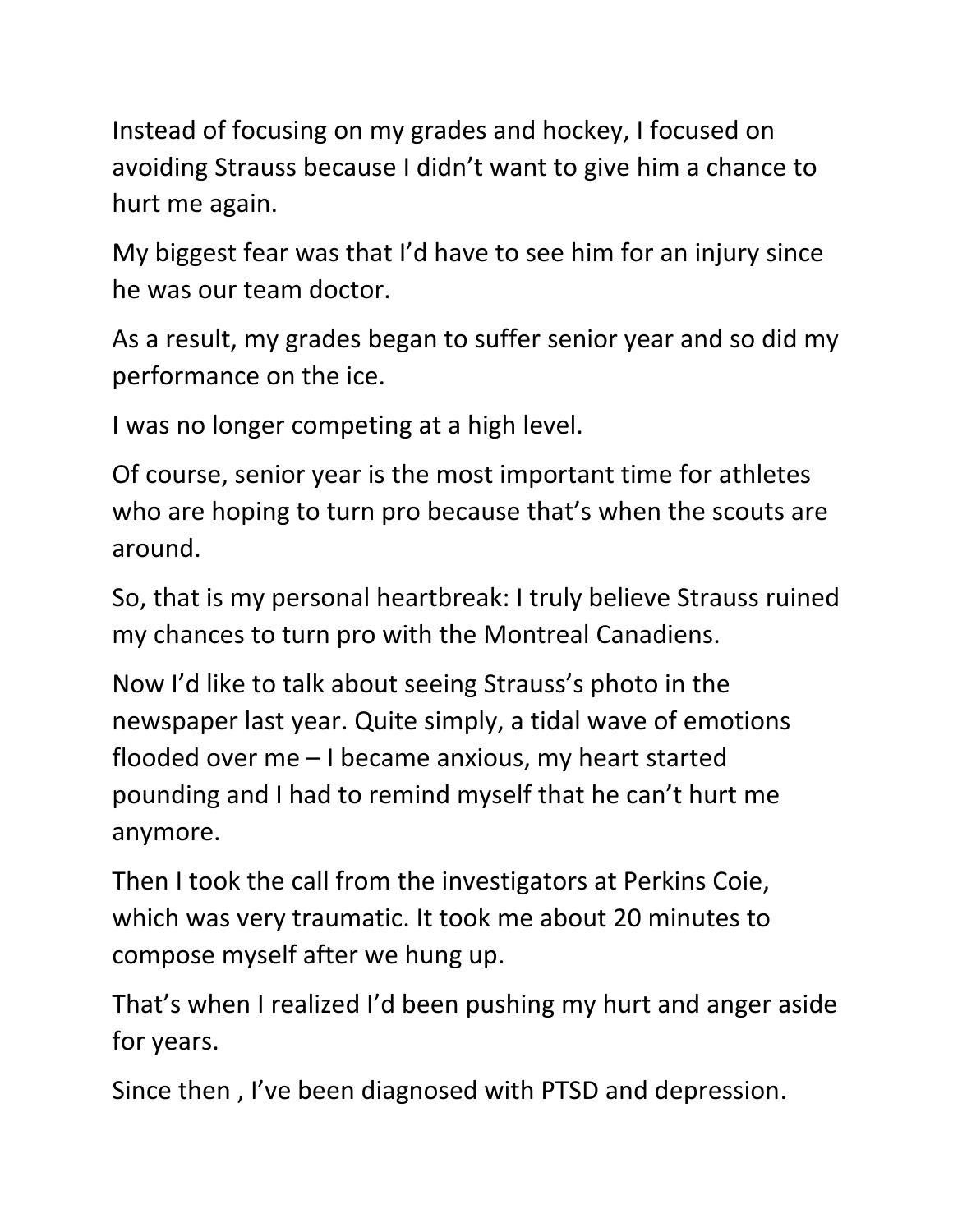Instead of focusing on my grades and hockey, I focused on avoiding Strauss because I didn't want to give him a chance to hurt me again.

My biggest fear was that I'd have to see him for an injury since he was our team doctor.

As a result, my grades began to suffer senior year and so did my performance on the ice.

I was no longer competing at a high level.

Of course, senior year is the most important time for athletes who are hoping to turn pro because that's when the scouts are around.

So, that is my personal heartbreak: I truly believe Strauss ruined my chances to turn pro with the Montreal Canadiens.

Now I'd like to talk about seeing Strauss's photo in the newspaper last year. Quite simply, a tidal wave of emotions flooded over me – I became anxious, my heart started pounding and I had to remind myself that he can't hurt me anymore.

Then I took the call from the investigators at Perkins Coie, which was very traumatic. It took me about 20 minutes to compose myself after we hung up.

That's when I realized I'd been pushing my hurt and anger aside for years.

Since then , I've been diagnosed with PTSD and depression.